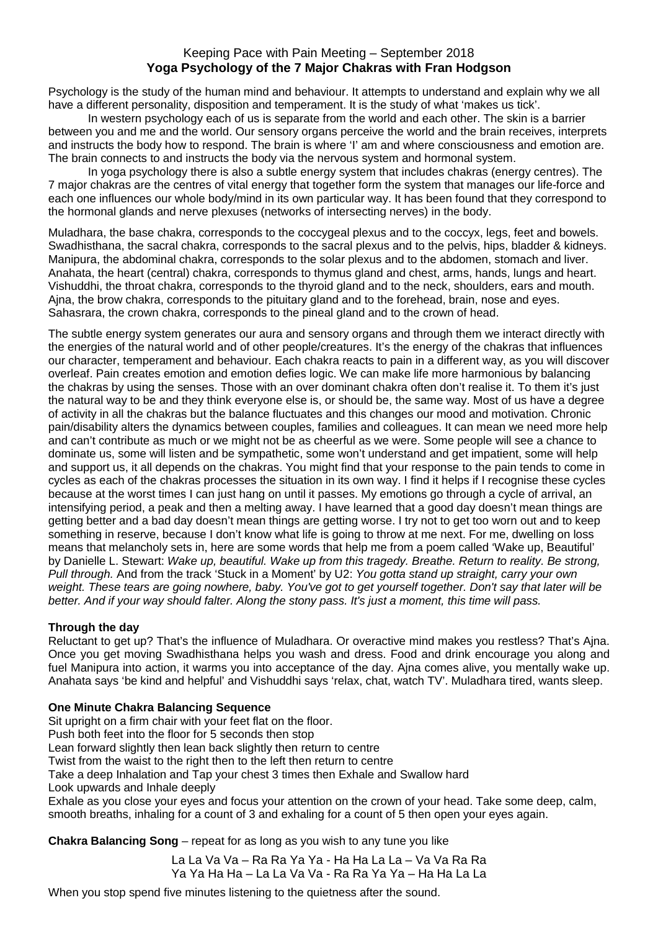## Keeping Pace with Pain Meeting – September 2018 **Yoga Psychology of the 7 Major Chakras with Fran Hodgson**

Psychology is the study of the human mind and behaviour. It attempts to understand and explain why we all have a different personality, disposition and temperament. It is the study of what 'makes us tick'.

In western psychology each of us is separate from the world and each other. The skin is a barrier between you and me and the world. Our sensory organs perceive the world and the brain receives, interprets and instructs the body how to respond. The brain is where 'I' am and where consciousness and emotion are. The brain connects to and instructs the body via the nervous system and hormonal system.

In yoga psychology there is also a subtle energy system that includes chakras (energy centres). The 7 major chakras are the centres of vital energy that together form the system that manages our life-force and each one influences our whole body/mind in its own particular way. It has been found that they correspond to the hormonal glands and nerve plexuses (networks of intersecting nerves) in the body.

Muladhara, the base chakra, corresponds to the coccygeal plexus and to the coccyx, legs, feet and bowels. Swadhisthana, the sacral chakra, corresponds to the sacral plexus and to the pelvis, hips, bladder & kidneys. Manipura, the abdominal chakra, corresponds to the solar plexus and to the abdomen, stomach and liver. Anahata, the heart (central) chakra, corresponds to thymus gland and chest, arms, hands, lungs and heart. Vishuddhi, the throat chakra, corresponds to the thyroid gland and to the neck, shoulders, ears and mouth. Ajna, the brow chakra, corresponds to the pituitary gland and to the forehead, brain, nose and eyes. Sahasrara, the crown chakra, corresponds to the pineal gland and to the crown of head.

The subtle energy system generates our aura and sensory organs and through them we interact directly with the energies of the natural world and of other people/creatures. It's the energy of the chakras that influences our character, temperament and behaviour. Each chakra reacts to pain in a different way, as you will discover overleaf. Pain creates emotion and emotion defies logic. We can make life more harmonious by balancing the chakras by using the senses. Those with an over dominant chakra often don't realise it. To them it's just the natural way to be and they think everyone else is, or should be, the same way. Most of us have a degree of activity in all the chakras but the balance fluctuates and this changes our mood and motivation. Chronic pain/disability alters the dynamics between couples, families and colleagues. It can mean we need more help and can't contribute as much or we might not be as cheerful as we were. Some people will see a chance to dominate us, some will listen and be sympathetic, some won't understand and get impatient, some will help and support us, it all depends on the chakras. You might find that your response to the pain tends to come in cycles as each of the chakras processes the situation in its own way. I find it helps if I recognise these cycles because at the worst times I can just hang on until it passes. My emotions go through a cycle of arrival, an intensifying period, a peak and then a melting away. I have learned that a good day doesn't mean things are getting better and a bad day doesn't mean things are getting worse. I try not to get too worn out and to keep something in reserve, because I don't know what life is going to throw at me next. For me, dwelling on loss means that melancholy sets in, here are some words that help me from a poem called 'Wake up, Beautiful' by Danielle L. Stewart: *Wake up, beautiful. Wake up from this tragedy. Breathe. Return to reality. Be strong, Pull through.* And from the track 'Stuck in a Moment' by U2: *You gotta stand up straight, carry your own weight. These tears are going nowhere, baby. You've got to get yourself together. Don't say that later will be better. And if your way should falter. Along the stony pass. It's just a moment, this time will pass.* 

## **Through the day**

Reluctant to get up? That's the influence of Muladhara. Or overactive mind makes you restless? That's Ajna. Once you get moving Swadhisthana helps you wash and dress. Food and drink encourage you along and fuel Manipura into action, it warms you into acceptance of the day. Ajna comes alive, you mentally wake up. Anahata says 'be kind and helpful' and Vishuddhi says 'relax, chat, watch TV'. Muladhara tired, wants sleep.

## **One Minute Chakra Balancing Sequence**

Sit upright on a firm chair with your feet flat on the floor.

Push both feet into the floor for 5 seconds then stop

Lean forward slightly then lean back slightly then return to centre

Twist from the waist to the right then to the left then return to centre

Take a deep Inhalation and Tap your chest 3 times then Exhale and Swallow hard

Look upwards and Inhale deeply

Exhale as you close your eyes and focus your attention on the crown of your head. Take some deep, calm, smooth breaths, inhaling for a count of 3 and exhaling for a count of 5 then open your eyes again.

**Chakra Balancing Song** – repeat for as long as you wish to any tune you like

La La Va Va – Ra Ra Ya Ya - Ha Ha La La – Va Va Ra Ra Ya Ya Ha Ha – La La Va Va - Ra Ra Ya Ya – Ha Ha La La

When you stop spend five minutes listening to the quietness after the sound.